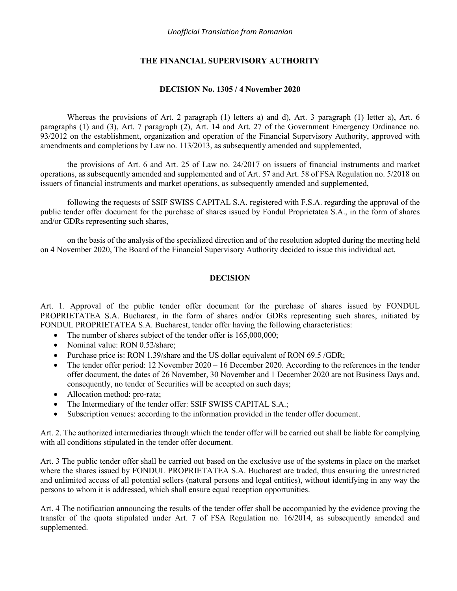## **THE FINANCIAL SUPERVISORY AUTHORITY**

#### **DECISION No. 1305 / 4 November 2020**

Whereas the provisions of Art. 2 paragraph (1) letters a) and d), Art. 3 paragraph (1) letter a), Art. 6 paragraphs (1) and (3), Art. 7 paragraph (2), Art. 14 and Art. 27 of the Government Emergency Ordinance no. 93/2012 on the establishment, organization and operation of the Financial Supervisory Authority, approved with amendments and completions by Law no. 113/2013, as subsequently amended and supplemented,

the provisions of Art. 6 and Art. 25 of Law no. 24/2017 on issuers of financial instruments and market operations, as subsequently amended and supplemented and of Art. 57 and Art. 58 of FSA Regulation no. 5/2018 on issuers of financial instruments and market operations, as subsequently amended and supplemented,

following the requests of SSIF SWISS CAPITAL S.A. registered with F.S.A. regarding the approval of the public tender offer document for the purchase of shares issued by Fondul Proprietatea S.A., in the form of shares and/or GDRs representing such shares,

on the basis of the analysis of the specialized direction and of the resolution adopted during the meeting held on 4 November 2020, The Board of the Financial Supervisory Authority decided to issue this individual act,

### **DECISION**

Art. 1. Approval of the public tender offer document for the purchase of shares issued by FONDUL PROPRIETATEA S.A. Bucharest, in the form of shares and/or GDRs representing such shares, initiated by FONDUL PROPRIETATEA S.A. Bucharest, tender offer having the following characteristics:

- The number of shares subject of the tender offer is 165,000,000;
- Nominal value: RON 0.52/share;
- Purchase price is: RON 1.39/share and the US dollar equivalent of RON 69.5 /GDR;
- The tender offer period: 12 November 2020 16 December 2020. According to the references in the tender offer document, the dates of 26 November, 30 November and 1 December 2020 are not Business Days and, consequently, no tender of Securities will be accepted on such days;
- Allocation method: pro-rata;
- The Intermediary of the tender offer: SSIF SWISS CAPITAL S.A.;
- Subscription venues: according to the information provided in the tender offer document.

Art. 2. The authorized intermediaries through which the tender offer will be carried out shall be liable for complying with all conditions stipulated in the tender offer document.

Art. 3 The public tender offer shall be carried out based on the exclusive use of the systems in place on the market where the shares issued by FONDUL PROPRIETATEA S.A. Bucharest are traded, thus ensuring the unrestricted and unlimited access of all potential sellers (natural persons and legal entities), without identifying in any way the persons to whom it is addressed, which shall ensure equal reception opportunities.

Art. 4 The notification announcing the results of the tender offer shall be accompanied by the evidence proving the transfer of the quota stipulated under Art. 7 of FSA Regulation no. 16/2014, as subsequently amended and supplemented.